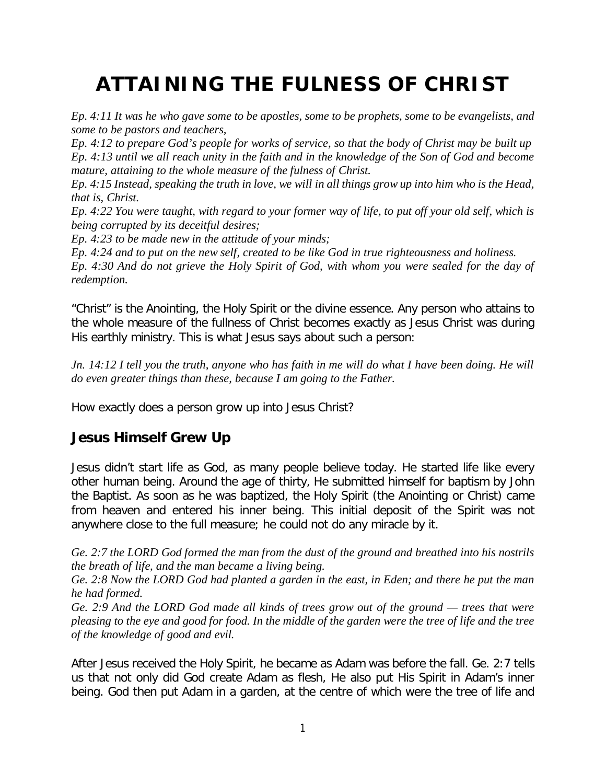## **ATTAINING THE FULNESS OF CHRIST**

*Ep. 4:11 It was he who gave some to be apostles, some to be prophets, some to be evangelists, and some to be pastors and teachers,*

*Ep. 4:12 to prepare God's people for works of service, so that the body of Christ may be built up Ep. 4:13 until we all reach unity in the faith and in the knowledge of the Son of God and become mature, attaining to the whole measure of the fulness of Christ.*

*Ep. 4:15 Instead, speaking the truth in love, we will in all things grow up into him who is the Head, that is, Christ.*

*Ep. 4:22 You were taught, with regard to your former way of life, to put off your old self, which is being corrupted by its deceitful desires;*

*Ep. 4:23 to be made new in the attitude of your minds;*

*Ep. 4:24 and to put on the new self, created to be like God in true righteousness and holiness.*

*Ep. 4:30 And do not grieve the Holy Spirit of God, with whom you were sealed for the day of redemption.*

"Christ" is the Anointing, the Holy Spirit or the divine essence. Any person who attains to the whole measure of the fullness of Christ becomes exactly as Jesus Christ was during His earthly ministry. This is what Jesus says about such a person:

*Jn. 14:12 I tell you the truth, anyone who has faith in me will do what I have been doing. He will do even greater things than these, because I am going to the Father.*

How exactly does a person grow up into Jesus Christ?

## **Jesus Himself Grew Up**

Jesus didn't start life as God, as many people believe today. He started life like every other human being. Around the age of thirty, He submitted himself for baptism by John the Baptist. As soon as he was baptized, the Holy Spirit (the Anointing or Christ) came from heaven and entered his inner being. This initial deposit of the Spirit was not anywhere close to the full measure; he could not do any miracle by it.

*Ge. 2:7 the LORD God formed the man from the dust of the ground and breathed into his nostrils the breath of life, and the man became a living being.*

*Ge. 2:8 Now the LORD God had planted a garden in the east, in Eden; and there he put the man he had formed.*

*Ge. 2:9 And the LORD God made all kinds of trees grow out of the ground — trees that were pleasing to the eye and good for food. In the middle of the garden were the tree of life and the tree of the knowledge of good and evil.*

After Jesus received the Holy Spirit, he became as Adam was before the fall. Ge. 2:7 tells us that not only did God create Adam as flesh, He also put His Spirit in Adam's inner being. God then put Adam in a garden, at the centre of which were the tree of life and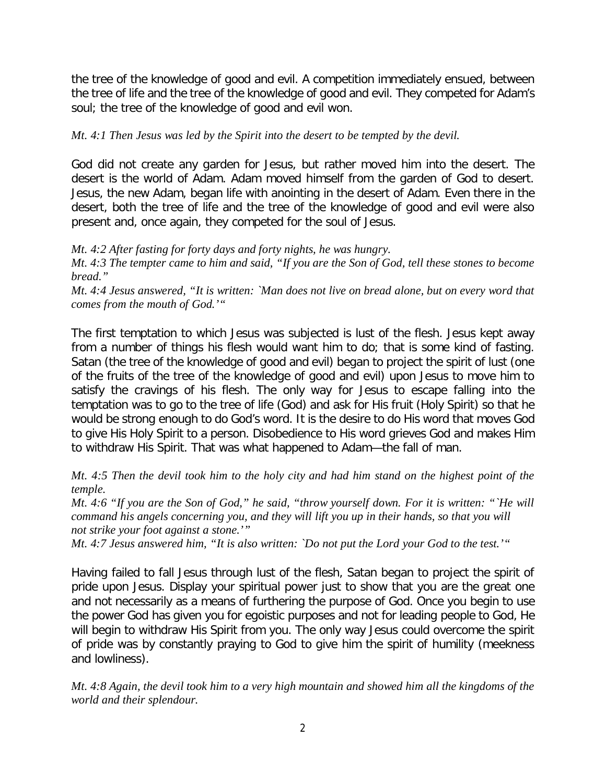the tree of the knowledge of good and evil. A competition immediately ensued, between the tree of life and the tree of the knowledge of good and evil. They competed for Adam's soul; the tree of the knowledge of good and evil won.

## *Mt. 4:1 Then Jesus was led by the Spirit into the desert to be tempted by the devil.*

God did not create any garden for Jesus, but rather moved him into the desert. The desert is the world of Adam. Adam moved himself from the garden of God to desert. Jesus, the new Adam, began life with anointing in the desert of Adam. Even there in the desert, both the tree of life and the tree of the knowledge of good and evil were also present and, once again, they competed for the soul of Jesus.

*Mt. 4:2 After fasting for forty days and forty nights, he was hungry.*

*Mt. 4:3 The tempter came to him and said, "If you are the Son of God, tell these stones to become bread."*

*Mt. 4:4 Jesus answered, "It is written: `Man does not live on bread alone, but on every word that comes from the mouth of God.'"*

The first temptation to which Jesus was subjected is lust of the flesh. Jesus kept away from a number of things his flesh would want him to do; that is some kind of fasting. Satan (the tree of the knowledge of good and evil) began to project the spirit of lust (one of the fruits of the tree of the knowledge of good and evil) upon Jesus to move him to satisfy the cravings of his flesh. The only way for Jesus to escape falling into the temptation was to go to the tree of life (God) and ask for His fruit (Holy Spirit) so that he would be strong enough to do God's word. It is the desire to do His word that moves God to give His Holy Spirit to a person. Disobedience to His word grieves God and makes Him to withdraw His Spirit. That was what happened to Adam—the fall of man.

*Mt. 4:5 Then the devil took him to the holy city and had him stand on the highest point of the temple.*

*Mt. 4:6 "If you are the Son of God," he said, "throw yourself down. For it is written: "`He will command his angels concerning you, and they will lift you up in their hands, so that you will not strike your foot against a stone.'"*

*Mt. 4:7 Jesus answered him, "It is also written: `Do not put the Lord your God to the test.'"*

Having failed to fall Jesus through lust of the flesh, Satan began to project the spirit of pride upon Jesus. Display your spiritual power just to show that you are the great one and not necessarily as a means of furthering the purpose of God. Once you begin to use the power God has given you for egoistic purposes and not for leading people to God, He will begin to withdraw His Spirit from you. The only way Jesus could overcome the spirit of pride was by constantly praying to God to give him the spirit of humility (meekness and lowliness).

*Mt. 4:8 Again, the devil took him to a very high mountain and showed him all the kingdoms of the world and their splendour.*